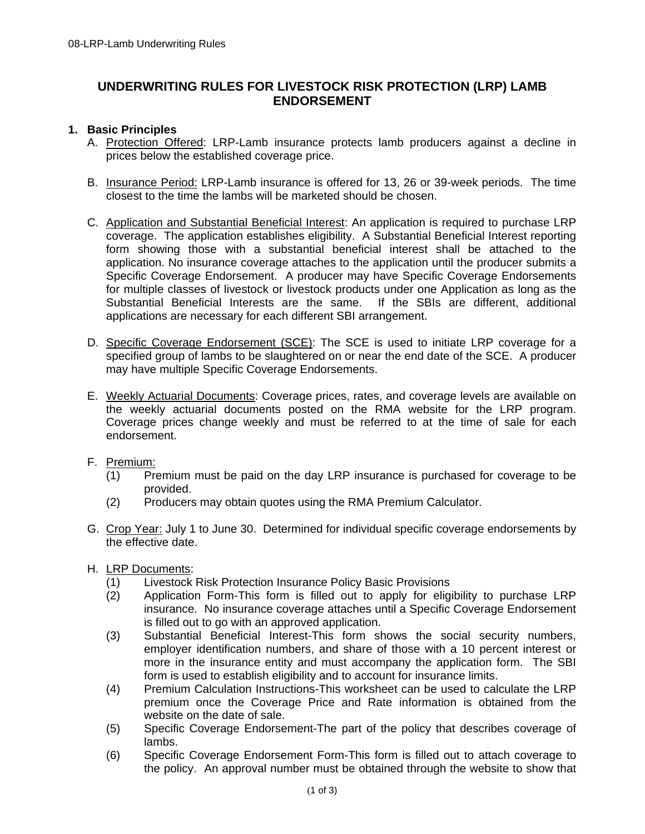# **UNDERWRITING RULES FOR LIVESTOCK RISK PROTECTION (LRP) LAMB ENDORSEMENT**

### **1. Basic Principles**

- A. Protection Offered: LRP-Lamb insurance protects lamb producers against a decline in prices below the established coverage price.
- B. Insurance Period: LRP-Lamb insurance is offered for 13, 26 or 39-week periods. The time closest to the time the lambs will be marketed should be chosen.
- C. Application and Substantial Beneficial Interest: An application is required to purchase LRP coverage. The application establishes eligibility. A Substantial Beneficial Interest reporting form showing those with a substantial beneficial interest shall be attached to the application. No insurance coverage attaches to the application until the producer submits a Specific Coverage Endorsement. A producer may have Specific Coverage Endorsements for multiple classes of livestock or livestock products under one Application as long as the Substantial Beneficial Interests are the same. If the SBIs are different, additional applications are necessary for each different SBI arrangement.
- D. Specific Coverage Endorsement (SCE): The SCE is used to initiate LRP coverage for a specified group of lambs to be slaughtered on or near the end date of the SCE. A producer may have multiple Specific Coverage Endorsements.
- E. Weekly Actuarial Documents: Coverage prices, rates, and coverage levels are available on the weekly actuarial documents posted on the RMA website for the LRP program. Coverage prices change weekly and must be referred to at the time of sale for each endorsement.
- F. Premium:
	- (1) Premium must be paid on the day LRP insurance is purchased for coverage to be provided.
	- (2) Producers may obtain quotes using the RMA Premium Calculator.
- G. Crop Year: July 1 to June 30. Determined for individual specific coverage endorsements by the effective date.
- H. LRP Documents:
	- (1) Livestock Risk Protection Insurance Policy Basic Provisions
	- (2) Application Form-This form is filled out to apply for eligibility to purchase LRP insurance. No insurance coverage attaches until a Specific Coverage Endorsement is filled out to go with an approved application.
	- (3) Substantial Beneficial Interest-This form shows the social security numbers, employer identification numbers, and share of those with a 10 percent interest or more in the insurance entity and must accompany the application form. The SBI form is used to establish eligibility and to account for insurance limits.
	- (4) Premium Calculation Instructions-This worksheet can be used to calculate the LRP premium once the Coverage Price and Rate information is obtained from the website on the date of sale.
	- (5) Specific Coverage Endorsement-The part of the policy that describes coverage of lambs.
	- (6) Specific Coverage Endorsement Form-This form is filled out to attach coverage to the policy. An approval number must be obtained through the website to show that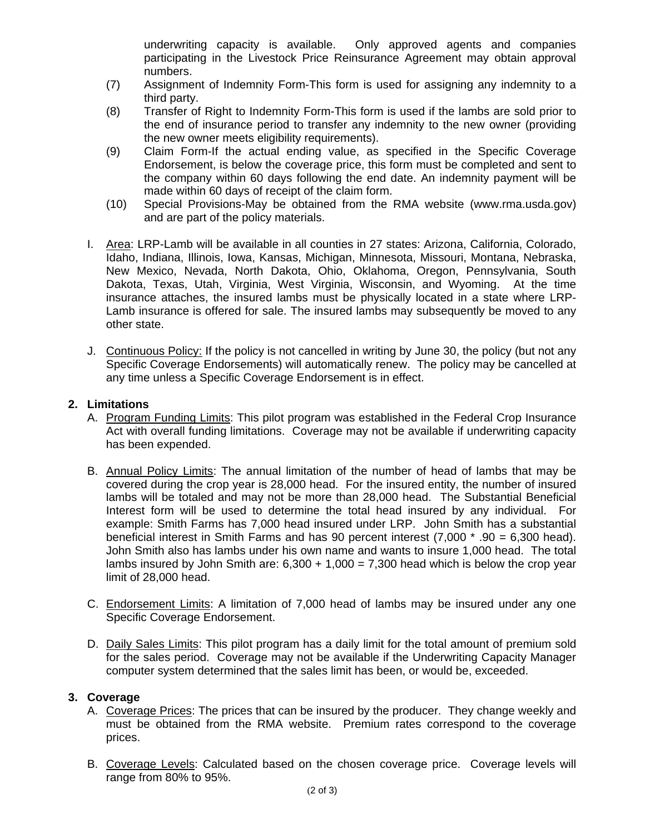underwriting capacity is available. Only approved agents and companies participating in the Livestock Price Reinsurance Agreement may obtain approval numbers.

- (7) Assignment of Indemnity Form-This form is used for assigning any indemnity to a third party.
- (8) Transfer of Right to Indemnity Form-This form is used if the lambs are sold prior to the end of insurance period to transfer any indemnity to the new owner (providing the new owner meets eligibility requirements).
- (9) Claim Form-If the actual ending value, as specified in the Specific Coverage Endorsement, is below the coverage price, this form must be completed and sent to the company within 60 days following the end date. An indemnity payment will be made within 60 days of receipt of the claim form.
- (10) Special Provisions-May be obtained from the RMA website (www.rma.usda.gov) and are part of the policy materials.
- I. Area: LRP-Lamb will be available in all counties in 27 states: Arizona, California, Colorado, Idaho, Indiana, Illinois, Iowa, Kansas, Michigan, Minnesota, Missouri, Montana, Nebraska, New Mexico, Nevada, North Dakota, Ohio, Oklahoma, Oregon, Pennsylvania, South Dakota, Texas, Utah, Virginia, West Virginia, Wisconsin, and Wyoming. At the time insurance attaches, the insured lambs must be physically located in a state where LRP-Lamb insurance is offered for sale. The insured lambs may subsequently be moved to any other state.
- J. Continuous Policy: If the policy is not cancelled in writing by June 30, the policy (but not any Specific Coverage Endorsements) will automatically renew. The policy may be cancelled at any time unless a Specific Coverage Endorsement is in effect.

#### **2. Limitations**

- A. Program Funding Limits: This pilot program was established in the Federal Crop Insurance Act with overall funding limitations. Coverage may not be available if underwriting capacity has been expended.
- B. Annual Policy Limits: The annual limitation of the number of head of lambs that may be covered during the crop year is 28,000 head. For the insured entity, the number of insured lambs will be totaled and may not be more than 28,000 head. The Substantial Beneficial Interest form will be used to determine the total head insured by any individual. For example: Smith Farms has 7,000 head insured under LRP. John Smith has a substantial beneficial interest in Smith Farms and has 90 percent interest (7,000 \* .90 = 6,300 head). John Smith also has lambs under his own name and wants to insure 1,000 head. The total lambs insured by John Smith are:  $6,300 + 1,000 = 7,300$  head which is below the crop year limit of 28,000 head.
- C. Endorsement Limits: A limitation of 7,000 head of lambs may be insured under any one Specific Coverage Endorsement.
- D. Daily Sales Limits: This pilot program has a daily limit for the total amount of premium sold for the sales period. Coverage may not be available if the Underwriting Capacity Manager computer system determined that the sales limit has been, or would be, exceeded.

#### **3. Coverage**

- A. Coverage Prices: The prices that can be insured by the producer. They change weekly and must be obtained from the RMA website. Premium rates correspond to the coverage prices.
- B. Coverage Levels: Calculated based on the chosen coverage price. Coverage levels will range from 80% to 95%.